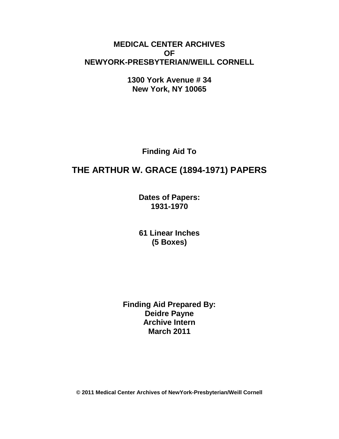# **MEDICAL CENTER ARCHIVES OF NEWYORK-PRESBYTERIAN/WEILL CORNELL**

**1300 York Avenue # 34 New York, NY 10065**

**Finding Aid To**

# **THE ARTHUR W. GRACE (1894-1971) PAPERS**

**Dates of Papers: 1931-1970**

**61 Linear Inches (5 Boxes)**

**Finding Aid Prepared By: Deidre Payne Archive Intern March 2011**

**© 2011 Medical Center Archives of NewYork-Presbyterian/Weill Cornell**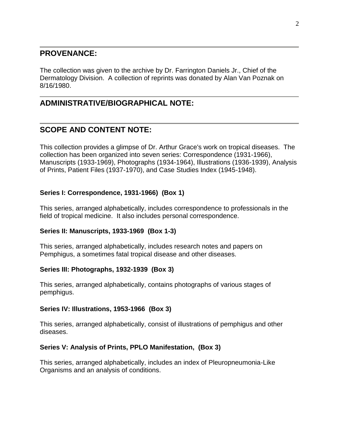### **PROVENANCE:**

The collection was given to the archive by Dr. Farrington Daniels Jr., Chief of the Dermatology Division. A collection of reprints was donated by Alan Van Poznak on 8/16/1980.

# **ADMINISTRATIVE/BIOGRAPHICAL NOTE:**

# **SCOPE AND CONTENT NOTE:**

This collection provides a glimpse of Dr. Arthur Grace's work on tropical diseases. The collection has been organized into seven series: Correspondence (1931-1966), Manuscripts (1933-1969), Photographs (1934-1964), Illustrations (1936-1939), Analysis of Prints, Patient Files (1937-1970), and Case Studies Index (1945-1948).

### **Series I: Correspondence, 1931-1966) (Box 1)**

This series, arranged alphabetically, includes correspondence to professionals in the field of tropical medicine. It also includes personal correspondence.

### **Series II: Manuscripts, 1933-1969 (Box 1-3)**

This series, arranged alphabetically, includes research notes and papers on Pemphigus, a sometimes fatal tropical disease and other diseases.

### **Series III: Photographs, 1932-1939 (Box 3)**

This series, arranged alphabetically, contains photographs of various stages of pemphigus.

### **Series IV: Illustrations, 1953-1966 (Box 3)**

This series, arranged alphabetically, consist of illustrations of pemphigus and other diseases.

### **Series V: Analysis of Prints, PPLO Manifestation, (Box 3)**

This series, arranged alphabetically, includes an index of Pleuropneumonia-Like Organisms and an analysis of conditions.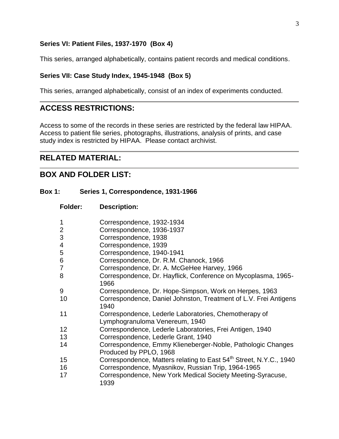#### **Series VI: Patient Files, 1937-1970 (Box 4)**

This series, arranged alphabetically, contains patient records and medical conditions.

#### **Series VII: Case Study Index, 1945-1948 (Box 5)**

This series, arranged alphabetically, consist of an index of experiments conducted.

### **ACCESS RESTRICTIONS:**

Access to some of the records in these series are restricted by the federal law HIPAA. Access to patient file series, photographs, illustrations, analysis of prints, and case study index is restricted by HIPAA. Please contact archivist.

### **RELATED MATERIAL:**

### **BOX AND FOLDER LIST:**

#### **Box 1: Series 1, Correspondence, 1931-1966**

**Folder: Description:**

|    | Correspondence, 1932-1934                                                               |
|----|-----------------------------------------------------------------------------------------|
| 2  | Correspondence, 1936-1937                                                               |
| 3  | Correspondence, 1938                                                                    |
| 4  | Correspondence, 1939                                                                    |
| 5  | Correspondence, 1940-1941                                                               |
| 6  | Correspondence, Dr. R.M. Chanock, 1966                                                  |
| 7  | Correspondence, Dr. A. McGeHee Harvey, 1966                                             |
| 8  | Correspondence, Dr. Hayflick, Conference on Mycoplasma, 1965-<br>1966                   |
| 9  | Correspondence, Dr. Hope-Simpson, Work on Herpes, 1963                                  |
| 10 | Correspondence, Daniel Johnston, Treatment of L.V. Frei Antigens<br>1940                |
| 11 | Correspondence, Lederle Laboratories, Chemotherapy of<br>Lymphogranuloma Venereum, 1940 |
| 12 | Correspondence, Lederle Laboratories, Frei Antigen, 1940                                |
| 13 | Correspondence, Lederle Grant, 1940                                                     |
| 14 | Correspondence, Emmy Klieneberger-Noble, Pathologic Changes<br>Produced by PPLO, 1968   |
| 15 | Correspondence, Matters relating to East 54 <sup>th</sup> Street, N.Y.C., 1940          |
| 16 | Correspondence, Myasnikov, Russian Trip, 1964-1965                                      |
| 17 | Correspondence, New York Medical Society Meeting-Syracuse,<br>1939                      |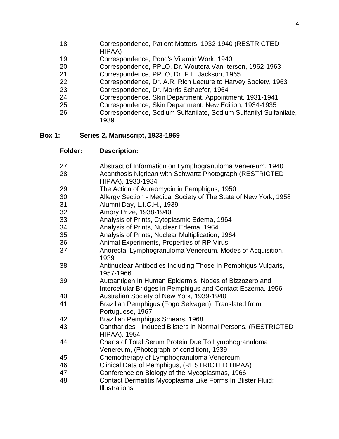- 
- Correspondence, Patient Matters, 1932-1940 (RESTRICTED HIPAA)
- Correspondence, Pond's Vitamin Work, 1940
- Correspondence, PPLO, Dr. Woutera Van Iterson, 1962-1963
- Correspondence, PPLO, Dr. F.L. Jackson, 1965
- Correspondence, Dr. A.R. Rich Lecture to Harvey Society, 1963
- Correspondence, Dr. Morris Schaefer, 1964
- Correspondence, Skin Department, Appointment, 1931-1941
- Correspondence, Skin Department, New Edition, 1934-1935
- Correspondence, Sodium Sulfanilate, Sodium Sulfanilyl Sulfanilate,

#### **Box 1: Series 2, Manuscript, 1933-1969**

**Folder: Description:**

| 27 | Abstract of Information on Lymphogranuloma Venereum, 1940                                                             |
|----|-----------------------------------------------------------------------------------------------------------------------|
| 28 | Acanthosis Nigrican with Schwartz Photograph (RESTRICTED<br>HIPAA), 1933-1934                                         |
| 29 | The Action of Aureomycin in Pemphigus, 1950                                                                           |
| 30 | Allergy Section - Medical Society of The State of New York, 1958                                                      |
| 31 | Alumni Day, L.I.C.H., 1939                                                                                            |
| 32 | Amory Prize, 1938-1940                                                                                                |
| 33 | Analysis of Prints, Cytoplasmic Edema, 1964                                                                           |
| 34 | Analysis of Prints, Nuclear Edema, 1964                                                                               |
| 35 | Analysis of Prints, Nuclear Multiplication, 1964                                                                      |
| 36 | Animal Experiments, Properties of RP Virus                                                                            |
| 37 | Anorectal Lymphogranuloma Venereum, Modes of Acquisition,<br>1939                                                     |
| 38 | Antinuclear Antibodies Including Those In Pemphigus Vulgaris,<br>1957-1966                                            |
| 39 | Autoantigen In Human Epidermis; Nodes of Bizzozero and<br>Intercellular Bridges in Pemphigus and Contact Eczema, 1956 |
| 40 | Australian Society of New York, 1939-1940                                                                             |
| 41 | Brazilian Pemphigus (Fogo Selvagen); Translated from<br>Portuguese, 1967                                              |
| 42 | Brazilian Pemphigus Smears, 1968                                                                                      |
| 43 | Cantharides - Induced Blisters in Normal Persons, (RESTRICTED<br><b>HIPAA), 1954</b>                                  |
| 44 | Charts of Total Serum Protein Due To Lymphogranuloma<br>Venereum, (Photograph of condition), 1939                     |
| 45 | Chemotherapy of Lymphogranuloma Venereum                                                                              |
| 46 | Clinical Data of Pemphigus, (RESTRICTED HIPAA)                                                                        |
| 47 | Conference on Biology of the Mycoplasmas, 1966                                                                        |
| 48 | Contact Dermatitis Mycoplasma Like Forms In Blister Fluid;<br><b>Illustrations</b>                                    |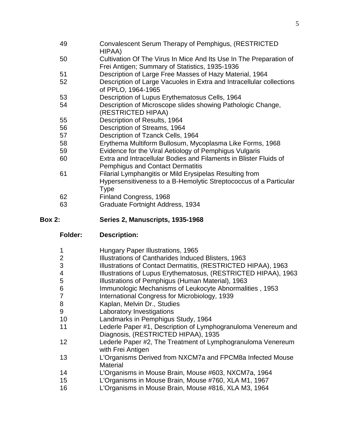- Convalescent Serum Therapy of Pemphigus, (RESTRICTED HIPAA)
- Cultivation Of The Virus In Mice And Its Use In The Preparation of Frei Antigen; Summary of Statistics, 1935-1936
- Description of Large Free Masses of Hazy Material, 1964
- Description of Large Vacuoles in Extra and Intracellular collections of PPLO, 1964-1965
- Description of Lupus Erythematosus Cells, 1964
- Description of Microscope slides showing Pathologic Change, (RESTRICTED HIPAA)
- Description of Results, 1964
- Description of Streams, 1964
- Description of Tzanck Cells, 1964
- Erythema Multiform Bullosum, Mycoplasma Like Forms, 1968
- Evidence for the Viral Aetiology of Pemphigus Vulgaris
- Extra and Intracellular Bodies and Filaments in Blister Fluids of Pemphigus and Contact Dermatitis
- Filarial Lymphangitis or Mild Erysipelas Resulting from Hypersensitiveness to a B-Hemolytic Streptococcus of a Particular Type
- Finland Congress, 1968
- Graduate Fortnight Address, 1934
- **Box 2: Series 2, Manuscripts, 1935-1968**
	- **Folder: Description:**
	- Hungary Paper Illustrations, 1965
	- Illustrations of Cantharides Induced Blisters, 1963
	- Illustrations of Contact Dermatitis, (RESTRICTED HIPAA), 1963
	- Illustrations of Lupus Erythematosus, (RESTRICTED HIPAA), 1963
	- Illustrations of Pemphigus (Human Material), 1963
	- Immunologic Mechanisms of Leukocyte Abnormalities , 1953
	- International Congress for Microbiology, 1939
	- 8 Kaplan, Melvin Dr., Studies
	- Laboratory Investigations
	- Landmarks in Pemphigus Study, 1964
	- Lederle Paper #1, Description of Lymphogranuloma Venereum and Diagnosis, (RESTRICTED HIPAA), 1935
	- Lederle Paper #2, The Treatment of Lymphogranuloma Venereum with Frei Antigen
	- L'Organisms Derived from NXCM7a and FPCM8a Infected Mouse Material
	- L'Organisms in Mouse Brain, Mouse #603, NXCM7a, 1964
	- L'Organisms in Mouse Brain, Mouse #760, XLA M1, 1967
	- L'Organisms in Mouse Brain, Mouse #816, XLA M3, 1964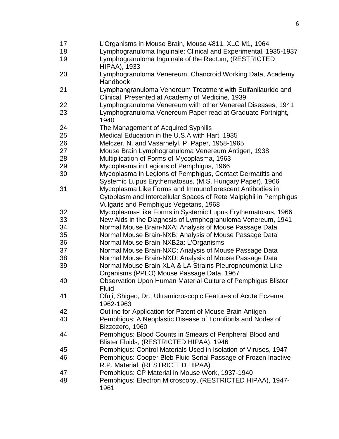- L'Organisms in Mouse Brain, Mouse #811, XLC M1, 1964
- Lymphogranuloma Inguinale: Clinical and Experimental, 1935-1937
- Lymphogranuloma Inguinale of the Rectum, (RESTRICTED HIPAA), 1933
- Lymphogranuloma Venereum, Chancroid Working Data, Academy Handbook
- Lymphangranuloma Venereum Treatment with Sulfanilauride and Clinical, Presented at Academy of Medicine, 1939
- Lymphogranuloma Venereum with other Venereal Diseases, 1941
- Lymphogranuloma Venereum Paper read at Graduate Fortnight,
- The Management of Acquired Syphilis
- Medical Education in the U.S.A with Hart, 1935
- Melczer, N. and Vasarhelyl, P. Paper, 1958-1965
- Mouse Brain Lymphogranuloma Venereum Antigen, 1938
- Multiplication of Forms of Mycoplasma, 1963
- Mycoplasma in Legions of Pemphigus, 1966
- Mycoplasma in Legions of Pemphigus, Contact Dermatitis and Systemic Lupus Erythematosus, (M.S. Hungary Paper), 1966
- Mycoplasma Like Forms and Immunoflorescent Antibodies in Cytoplasm and Intercellular Spaces of Rete Malpighii in Pemphigus Vulgaris and Pemphigus Vegetans, 1968
- Mycoplasma-Like Forms in Systemic Lupus Erythematosus, 1966
- New Aids in the Diagnosis of Lymphogranuloma Venereum, 1941
- Normal Mouse Brain-NXA: Analysis of Mouse Passage Data
- Normal Mouse Brain-NXB: Analysis of Mouse Passage Data
- Normal Mouse Brain-NXB2a: L'Organisms
- Normal Mouse Brain-NXC: Analysis of Mouse Passage Data
- Normal Mouse Brain-NXD: Analysis of Mouse Passage Data
- Normal Mouse Brain-XLA & LA Strains Pleuropneumonia-Like Organisms (PPLO) Mouse Passage Data, 1967
- Observation Upon Human Material Culture of Pemphigus Blister Fluid
- Ofuji, Shigeo, Dr., Ultramicroscopic Features of Acute Eczema, 1962-1963
- Outline for Application for Patent of Mouse Brain Antigen
- Pemphigus: A Neoplastic Disease of Tonofibrils and Nodes of Bizzozero, 1960
- Pemphigus: Blood Counts in Smears of Peripheral Blood and Blister Fluids, (RESTRICTED HIPAA), 1946
- Pemphigus: Control Materials Used in Isolation of Viruses, 1947
- Pemphigus: Cooper Bleb Fluid Serial Passage of Frozen Inactive R.P. Material, (RESTRICTED HIPAA)
- Pemphigus: CP Material in Mouse Work, 1937-1940
- Pemphigus: Electron Microscopy, (RESTRICTED HIPAA), 1947-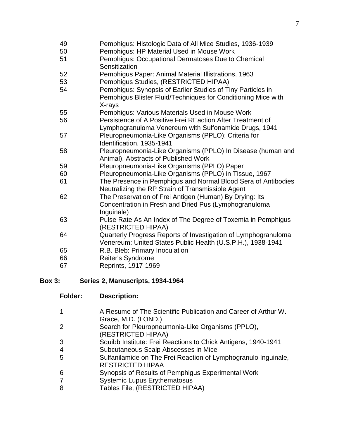Pemphigus: Histologic Data of All Mice Studies, 1936-1939 Pemphigus: HP Material Used in Mouse Work Pemphigus: Occupational Dermatoses Due to Chemical **Sensitization**  Pemphigus Paper: Animal Material Illistrations, 1963 Pemphigus Studies, (RESTRICTED HIPAA) Pemphigus: Synopsis of Earlier Studies of Tiny Particles in Pemphigus Blister Fluid/Techniques for Conditioning Mice with X-rays Pemphigus: Various Materials Used in Mouse Work Persistence of A Positive Frei REaction After Treatment of Lymphogranuloma Venereum with Sulfonamide Drugs, 1941 Pleuropneumonia-Like Organisms (PPLO): Criteria for Identification, 1935-1941 Pleuropneumonia-Like Organisms (PPLO) In Disease (human and Animal), Abstracts of Published Work Pleuropneumonia-Like Organisms (PPLO) Paper Pleuropneumonia-Like Organisms (PPLO) in Tissue, 1967 The Presence in Pemphigus and Normal Blood Sera of Antibodies Neutralizing the RP Strain of Transmissible Agent The Preservation of Frei Antigen (Human) By Drying: Its Concentration in Fresh and Dried Pus (Lymphogranuloma Inguinale) Pulse Rate As An Index of The Degree of Toxemia in Pemphigus (RESTRICTED HIPAA) Quarterly Progress Reports of Investigation of Lymphogranuloma Venereum: United States Public Health (U.S.P.H.), 1938-1941 R.B. Bleb: Primary Inoculation Reiter's Syndrome Reprints, 1917-1969

### **Box 3: Series 2, Manuscripts, 1934-1964**

| Folder: | <b>Description:</b>                                                                       |
|---------|-------------------------------------------------------------------------------------------|
|         | A Resume of The Scientific Publication and Career of Arthur W.<br>Grace, M.D. (LOND.)     |
|         | Search for Pleuropneumonia-Like Organisms (PPLO),<br>(RESTRICTED HIPAA)                   |
| З       | Squibb Institute: Frei Reactions to Chick Antigens, 1940-1941                             |
|         | Subcutaneous Scalp Abscesses in Mice                                                      |
| 5       | Sulfanilamide on The Frei Reaction of Lymphogranulo Inguinale,<br><b>RESTRICTED HIPAA</b> |
| 6       | Synopsis of Results of Pemphigus Experimental Work                                        |
|         | <b>Systemic Lupus Erythematosus</b>                                                       |
| 8       | Tables File, (RESTRICTED HIPAA)                                                           |
|         |                                                                                           |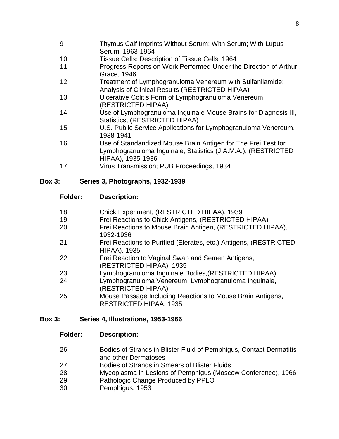- 9 Thymus Calf Imprints Without Serum; With Serum; With Lupus Serum, 1963-1964
- 10 Tissue Cells: Description of Tissue Cells, 1964
- 11 Progress Reports on Work Performed Under the Direction of Arthur Grace, 1946
- 12 Treatment of Lymphogranuloma Venereum with Sulfanilamide; Analysis of Clinical Results (RESTRICTED HIPAA)
- 13 Ulcerative Colitis Form of Lymphogranuloma Venereum, (RESTRICTED HIPAA)
- 14 Use of Lymphogranuloma Inguinale Mouse Brains for Diagnosis III, Statistics, (RESTRICTED HIPAA)
- 15 U.S. Public Service Applications for Lymphogranuloma Venereum, 1938-1941
- 16 Use of Standandized Mouse Brain Antigen for The Frei Test for Lymphogranuloma Inguinale, Statistics (J.A.M.A.), (RESTRICTED HIPAA), 1935-1936
- 17 Virus Transmission; PUB Proceedings, 1934

### **Box 3: Series 3, Photographs, 1932-1939**

#### **Folder: Description:**

| 18 | Chick Experiment, (RESTRICTED HIPAA), 1939                                                  |
|----|---------------------------------------------------------------------------------------------|
| 19 | Frei Reactions to Chick Antigens, (RESTRICTED HIPAA)                                        |
| 20 | Frei Reactions to Mouse Brain Antigen, (RESTRICTED HIPAA),<br>1932-1936                     |
| 21 | Frei Reactions to Purified (Elerates, etc.) Antigens, (RESTRICTED<br><b>HIPAA), 1935</b>    |
| 22 | Frei Reaction to Vaginal Swab and Semen Antigens,<br>(RESTRICTED HIPAA), 1935               |
| 23 | Lymphogranuloma Inguinale Bodies, (RESTRICTED HIPAA)                                        |
| 24 | Lymphogranuloma Venereum; Lymphogranuloma Inguinale,<br>(RESTRICTED HIPAA)                  |
| 25 | Mouse Passage Including Reactions to Mouse Brain Antigens,<br><b>RESTRICTED HIPAA, 1935</b> |

### **Box 3: Series 4, Illustrations, 1953-1966**

### **Folder: Description:**

- 26 Bodies of Strands in Blister Fluid of Pemphigus, Contact Dermatitis and other Dermatoses
- 27 Bodies of Strands in Smears of Blister Fluids
- 28 Mycoplasma in Lesions of Pemphigus (Moscow Conference), 1966
- 29 Pathologic Change Produced by PPLO
- 30 Pemphigus, 1953